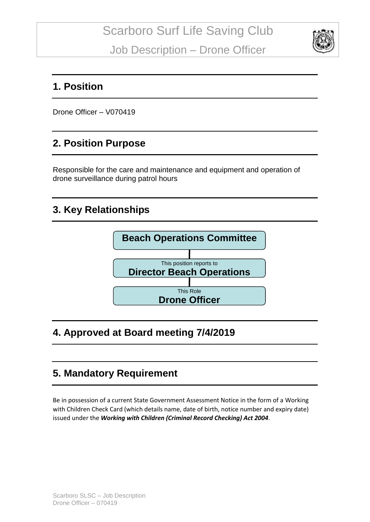

#### **1. Position**

Drone Officer – V070419

#### **2. Position Purpose**

Responsible for the care and maintenance and equipment and operation of drone surveillance during patrol hours

### **3. Key Relationships**



### **4. Approved at Board meeting 7/4/2019**

### **5. Mandatory Requirement**

Be in possession of a current State Government Assessment Notice in the form of a Working with Children Check Card (which details name, date of birth, notice number and expiry date) issued under the *Working with Children (Criminal Record Checking) Act 2004*.